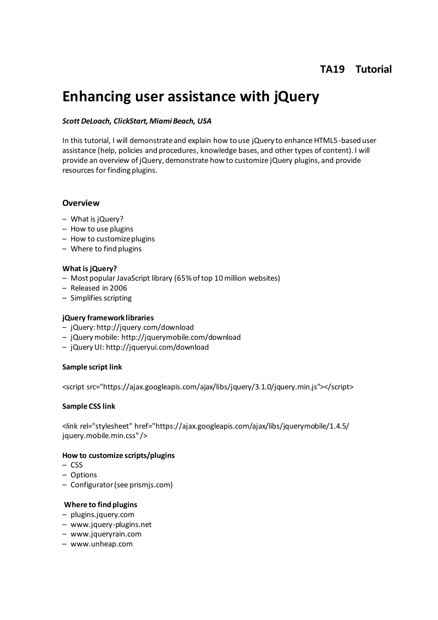# **TA19 Tutorial**

# **Enhancing user assistance with jQuery**

#### *Scott DeLoach, ClickStart, Miami Beach, USA*

In this tutorial, I will demonstrate and explain how to use jQuery to enhance HTML5-based user assistance (help, policies and procedures, knowledge bases, and other types of content). I will provide an overview of jQuery, demonstrate how to customize jQuery plugins, and provide resources for finding plugins.

#### **Overview**

- What is jQuery?
- How to use plugins
- How to customize plugins
- Where to find plugins

#### **What is jQuery?**

- Most popular JavaScript library (65% of top 10 million websites)
- Released in 2006
- Simplifies scripting

#### **jQuery framework libraries**

- jQuery: http://jquery.com/download
- jQuery mobile: http://jquerymobile.com/download
- jQuery UI: http://jqueryui.com/download

#### **Sample script link**

<script src="https://ajax.googleapis.com/ajax/libs/jquery/3.1.0/jquery.min.js"></script>

#### **Sample CSS link**

<link rel="stylesheet" href="https://ajax.googleapis.com/ajax/libs/jquerymobile/1.4.5/ jquery.mobile.min.css" />

#### **How to customize scripts/plugins**

- CSS
- Options
- Configurator (see prismjs.com)

#### **Where to find plugins**

- plugins.jquery.com
- www.jquery-plugins.net
- www.jqueryrain.com
- www.unheap.com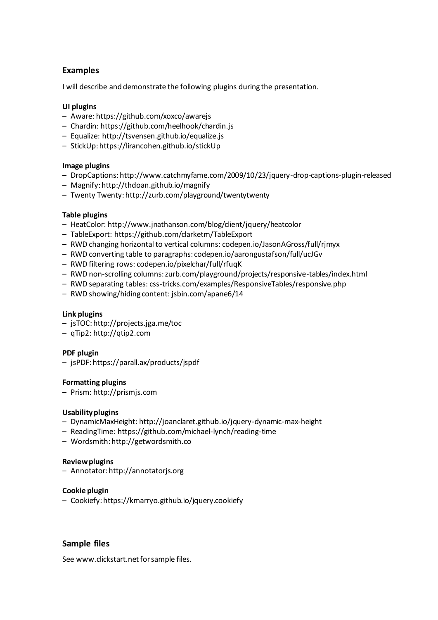# **Examples**

I will describe and demonstrate the following plugins during the presentation.

#### **UI plugins**

- Aware: https://github.com/xoxco/awarejs
- Chardin: https://github.com/heelhook/chardin.js
- Equalize: http://tsvensen.github.io/equalize.js
- StickUp: https://lirancohen.github.io/stickUp

#### **Image plugins**

- DropCaptions: http://www.catchmyfame.com/2009/10/23/jquery-drop-captions-plugin-released
- Magnify: http://thdoan.github.io/magnify
- Twenty Twenty: http://zurb.com/playground/twentytwenty

#### **Table plugins**

- HeatColor: http://www.jnathanson.com/blog/client/jquery/heatcolor
- TableExport: https://github.com/clarketm/TableExport
- RWD changing horizontal to vertical columns: codepen.io/JasonAGross/full/rjmyx
- RWD converting table to paragraphs: codepen.io/aarongustafson/full/ucJGv
- RWD filtering rows: codepen.io/pixelchar/full/rfuqK
- RWD non-scrolling columns: zurb.com/playground/projects/responsive-tables/index.html
- RWD separating tables: css-tricks.com/examples/ResponsiveTables/responsive.php
- RWD showing/hiding content: jsbin.com/apane6/14

#### **Link plugins**

- jsTOC: http://projects.jga.me/toc
- qTip2: http://qtip2.com

#### **PDF plugin**

– jsPDF: https://parall.ax/products/jspdf

#### **Formatting plugins**

– Prism: http://prismjs.com

#### **Usability plugins**

- DynamicMaxHeight: http://joanclaret.github.io/jquery-dynamic-max-height
- ReadingTime: https://github.com/michael-lynch/reading-time
- Wordsmith: http://getwordsmith.co

#### **Review plugins**

– Annotator: http://annotatorjs.org

#### **Cookie plugin**

– Cookiefy: https://kmarryo.github.io/jquery.cookiefy

### **Sample files**

See www.clickstart.net for sample files.